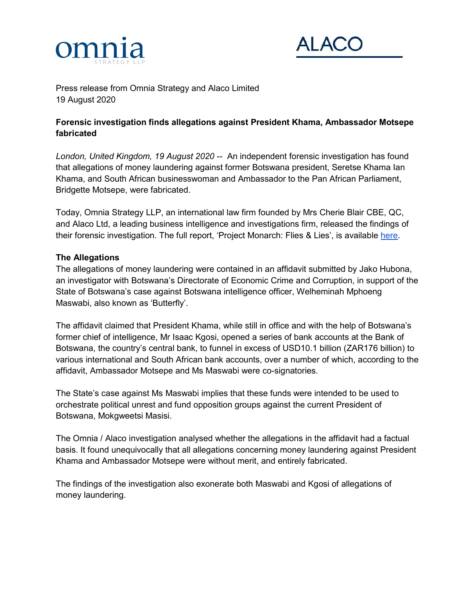



Press release from Omnia Strategy and Alaco Limited 19 August 2020

## **Forensic investigation finds allegations against President Khama, Ambassador Motsepe fabricated**

*London, United Kingdom, 19 August 2020 --* An independent forensic investigation has found that allegations of money laundering against former Botswana president, Seretse Khama Ian Khama, and South African businesswoman and Ambassador to the Pan African Parliament, Bridgette Motsepe, were fabricated.

Today, Omnia Strategy LLP, an international law firm founded by Mrs Cherie Blair CBE, QC, and Alaco Ltd, a leading business intelligence and investigations firm, released the findings of their forensic investigation. The full report, 'Project Monarch: Flies & Lies', is available [here.](https://omniastrategy.com/news-insights/)

## **The Allegations**

The allegations of money laundering were contained in an affidavit submitted by Jako Hubona, an investigator with Botswana's Directorate of Economic Crime and Corruption, in support of the State of Botswana's case against Botswana intelligence officer, Welheminah Mphoeng Maswabi, also known as 'Butterfly'.

The affidavit claimed that President Khama, while still in office and with the help of Botswana's former chief of intelligence, Mr Isaac Kgosi, opened a series of bank accounts at the Bank of Botswana, the country's central bank, to funnel in excess of USD10.1 billion (ZAR176 billion) to various international and South African bank accounts, over a number of which, according to the affidavit, Ambassador Motsepe and Ms Maswabi were co-signatories.

The State's case against Ms Maswabi implies that these funds were intended to be used to orchestrate political unrest and fund opposition groups against the current President of Botswana, Mokgweetsi Masisi.

The Omnia / Alaco investigation analysed whether the allegations in the affidavit had a factual basis. It found unequivocally that all allegations concerning money laundering against President Khama and Ambassador Motsepe were without merit, and entirely fabricated.

The findings of the investigation also exonerate both Maswabi and Kgosi of allegations of money laundering.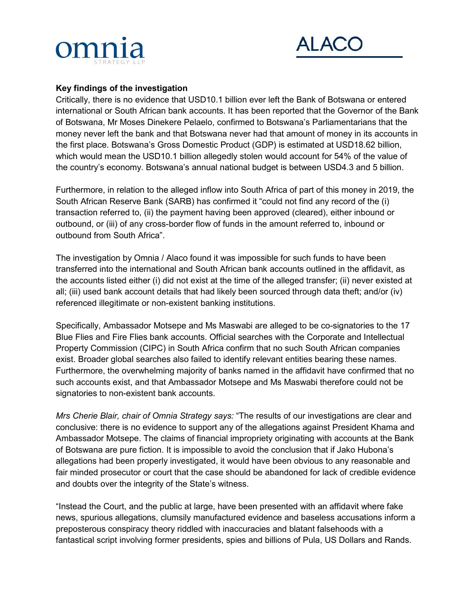



## **Key findings of the investigation**

Critically, there is no evidence that USD10.1 billion ever left the Bank of Botswana or entered international or South African bank accounts. It has been reported that the Governor of the Bank of Botswana, Mr Moses Dinekere Pelaelo, confirmed to Botswana's Parliamentarians that the money never left the bank and that Botswana never had that amount of money in its accounts in the first place. Botswana's Gross Domestic Product (GDP) is estimated at USD18.62 billion, which would mean the USD10.1 billion allegedly stolen would account for 54% of the value of the country's economy. Botswana's annual national budget is between USD4.3 and 5 billion.

Furthermore, in relation to the alleged inflow into South Africa of part of this money in 2019, the South African Reserve Bank (SARB) has confirmed it "could not find any record of the (i) transaction referred to, (ii) the payment having been approved (cleared), either inbound or outbound, or (iii) of any cross-border flow of funds in the amount referred to, inbound or outbound from South Africa".

The investigation by Omnia / Alaco found it was impossible for such funds to have been transferred into the international and South African bank accounts outlined in the affidavit, as the accounts listed either (i) did not exist at the time of the alleged transfer; (ii) never existed at all; (iii) used bank account details that had likely been sourced through data theft; and/or (iv) referenced illegitimate or non-existent banking institutions.

Specifically, Ambassador Motsepe and Ms Maswabi are alleged to be co-signatories to the 17 Blue Flies and Fire Flies bank accounts. Official searches with the Corporate and Intellectual Property Commission (CIPC) in South Africa confirm that no such South African companies exist. Broader global searches also failed to identify relevant entities bearing these names. Furthermore, the overwhelming majority of banks named in the affidavit have confirmed that no such accounts exist, and that Ambassador Motsepe and Ms Maswabi therefore could not be signatories to non-existent bank accounts.

*Mrs Cherie Blair, chair of Omnia Strategy says:* "The results of our investigations are clear and conclusive: there is no evidence to support any of the allegations against President Khama and Ambassador Motsepe. The claims of financial impropriety originating with accounts at the Bank of Botswana are pure fiction. It is impossible to avoid the conclusion that if Jako Hubona's allegations had been properly investigated, it would have been obvious to any reasonable and fair minded prosecutor or court that the case should be abandoned for lack of credible evidence and doubts over the integrity of the State's witness.

"Instead the Court, and the public at large, have been presented with an affidavit where fake news, spurious allegations, clumsily manufactured evidence and baseless accusations inform a preposterous conspiracy theory riddled with inaccuracies and blatant falsehoods with a fantastical script involving former presidents, spies and billions of Pula, US Dollars and Rands.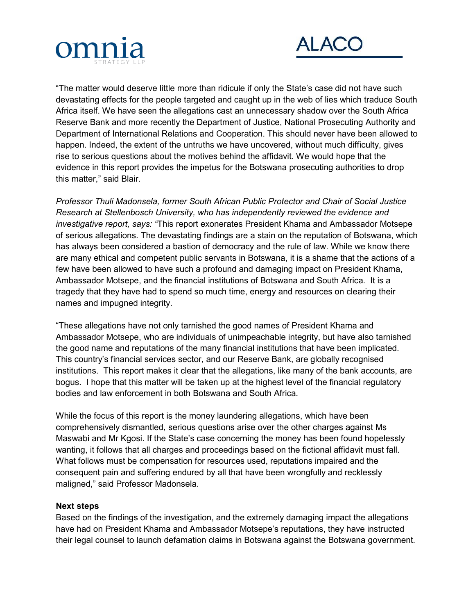



"The matter would deserve little more than ridicule if only the State's case did not have such devastating effects for the people targeted and caught up in the web of lies which traduce South Africa itself. We have seen the allegations cast an unnecessary shadow over the South Africa Reserve Bank and more recently the Department of Justice, National Prosecuting Authority and Department of International Relations and Cooperation. This should never have been allowed to happen. Indeed, the extent of the untruths we have uncovered, without much difficulty, gives rise to serious questions about the motives behind the affidavit. We would hope that the evidence in this report provides the impetus for the Botswana prosecuting authorities to drop this matter," said Blair.

*Professor Thuli Madonsela, former South African Public Protector and Chair of Social Justice Research at Stellenbosch University, who has independently reviewed the evidence and investigative report, says: "*This report exonerates President Khama and Ambassador Motsepe of serious allegations. The devastating findings are a stain on the reputation of Botswana, which has always been considered a bastion of democracy and the rule of law. While we know there are many ethical and competent public servants in Botswana, it is a shame that the actions of a few have been allowed to have such a profound and damaging impact on President Khama, Ambassador Motsepe, and the financial institutions of Botswana and South Africa. It is a tragedy that they have had to spend so much time, energy and resources on clearing their names and impugned integrity.

"These allegations have not only tarnished the good names of President Khama and Ambassador Motsepe, who are individuals of unimpeachable integrity, but have also tarnished the good name and reputations of the many financial institutions that have been implicated. This country's financial services sector, and our Reserve Bank, are globally recognised institutions. This report makes it clear that the allegations, like many of the bank accounts, are bogus. I hope that this matter will be taken up at the highest level of the financial regulatory bodies and law enforcement in both Botswana and South Africa.

While the focus of this report is the money laundering allegations, which have been comprehensively dismantled, serious questions arise over the other charges against Ms Maswabi and Mr Kgosi. If the State's case concerning the money has been found hopelessly wanting, it follows that all charges and proceedings based on the fictional affidavit must fall. What follows must be compensation for resources used, reputations impaired and the consequent pain and suffering endured by all that have been wrongfully and recklessly maligned," said Professor Madonsela.

#### **Next steps**

Based on the findings of the investigation, and the extremely damaging impact the allegations have had on President Khama and Ambassador Motsepe's reputations, they have instructed their legal counsel to launch defamation claims in Botswana against the Botswana government.